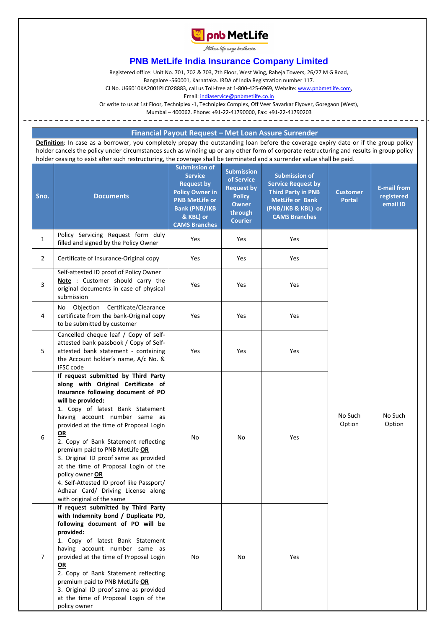

Milkar life aage hadhaein

## **PNB MetLife India Insurance Company Limited**

Registered office: Unit No. 701, 702 & 703, 7th Floor, West Wing, Raheja Towers, 26/27 M G Road,

Bangalore -560001, Karnataka. IRDA of India Registration number 117.

CI No. U66010KA2001PLC028883, call us Toll-free at 1-800-425-6969, Website[: www.pnbmetlife.com,](http://www.pnbmetlife.com/)

Email[: indiaservice@pnbmetlife.co.in](mailto:indiaservice@pnbmetlife.co.in)

Or write to us at 1st Floor, Techniplex -1, Techniplex Complex, Off Veer Savarkar Flyover, Goregaon (West),

Mumbai – 400062. Phone: +91-22-41790000, Fax: +91-22-41790203

**Financial Payout Request – Met Loan Assure Surrender**

**Definition**: In case as a borrower, you completely prepay the outstanding loan before the coverage expiry date or if the group policy holder cancels the policy under circumstances such as winding up or any other form of corporate restructuring and results in group policy holder ceasing to exist after such restructuring, the coverage shall be terminated and a surrender value shall be paid.

| Sno.           | <b>Documents</b>                                                                                                                                                                                                                                                                                                                                                                                                                                                                                                                                       | <b>Submission of</b><br><b>Service</b><br><b>Request by</b><br><b>Policy Owner in</b><br><b>PNB MetLife or</b><br><b>Bank (PNB/JKB</b><br>& KBL) or<br><b>CAMS Branches</b> | <b>Submission</b><br>of Service<br><b>Request by</b><br><b>Policy</b><br><b>Owner</b><br>through<br><b>Courier</b> | <b>Submission of</b><br><b>Service Request by</b><br><b>Third Party in PNB</b><br><b>MetLife or Bank</b><br>(PNB/JKB & KBL) or<br><b>CAMS Branches</b> | <b>Customer</b><br><b>Portal</b> | <b>E-mail from</b><br>registered<br>email ID |
|----------------|--------------------------------------------------------------------------------------------------------------------------------------------------------------------------------------------------------------------------------------------------------------------------------------------------------------------------------------------------------------------------------------------------------------------------------------------------------------------------------------------------------------------------------------------------------|-----------------------------------------------------------------------------------------------------------------------------------------------------------------------------|--------------------------------------------------------------------------------------------------------------------|--------------------------------------------------------------------------------------------------------------------------------------------------------|----------------------------------|----------------------------------------------|
| $\mathbf{1}$   | Policy Servicing Request form duly<br>filled and signed by the Policy Owner                                                                                                                                                                                                                                                                                                                                                                                                                                                                            | Yes                                                                                                                                                                         | Yes                                                                                                                | Yes                                                                                                                                                    |                                  |                                              |
| $\overline{2}$ | Certificate of Insurance-Original copy                                                                                                                                                                                                                                                                                                                                                                                                                                                                                                                 | Yes                                                                                                                                                                         | Yes                                                                                                                | Yes                                                                                                                                                    |                                  |                                              |
| 3              | Self-attested ID proof of Policy Owner<br>Note: Customer should carry the<br>original documents in case of physical<br>submission                                                                                                                                                                                                                                                                                                                                                                                                                      | Yes                                                                                                                                                                         | Yes                                                                                                                | Yes                                                                                                                                                    | No Such<br>Option                | No Such<br>Option                            |
| 4              | Objection Certificate/Clearance<br>No<br>certificate from the bank-Original copy<br>to be submitted by customer                                                                                                                                                                                                                                                                                                                                                                                                                                        | Yes                                                                                                                                                                         | Yes                                                                                                                | Yes                                                                                                                                                    |                                  |                                              |
| 5              | Cancelled cheque leaf / Copy of self-<br>attested bank passbook / Copy of Self-<br>attested bank statement - containing<br>the Account holder's name, A/c No. &<br><b>IFSC</b> code                                                                                                                                                                                                                                                                                                                                                                    | Yes                                                                                                                                                                         | Yes                                                                                                                | Yes                                                                                                                                                    |                                  |                                              |
| 6              | If request submitted by Third Party<br>along with Original Certificate of<br>Insurance following document of PO<br>will be provided:<br>1. Copy of latest Bank Statement<br>having account number same as<br>provided at the time of Proposal Login<br>OR<br>2. Copy of Bank Statement reflecting<br>premium paid to PNB MetLife OR<br>3. Original ID proof same as provided<br>at the time of Proposal Login of the<br>policy owner OR<br>4. Self-Attested ID proof like Passport/<br>Adhaar Card/ Driving License along<br>with original of the same | No                                                                                                                                                                          | No                                                                                                                 | Yes                                                                                                                                                    |                                  |                                              |
| $\overline{7}$ | If request submitted by Third Party<br>with Indemnity bond / Duplicate PD,<br>following document of PO will be<br>provided:<br>1. Copy of latest Bank Statement<br>having account number same as<br>provided at the time of Proposal Login<br>OR<br>2. Copy of Bank Statement reflecting<br>premium paid to PNB MetLife OR<br>3. Original ID proof same as provided<br>at the time of Proposal Login of the<br>policy owner                                                                                                                            | No                                                                                                                                                                          | No                                                                                                                 | Yes                                                                                                                                                    |                                  |                                              |